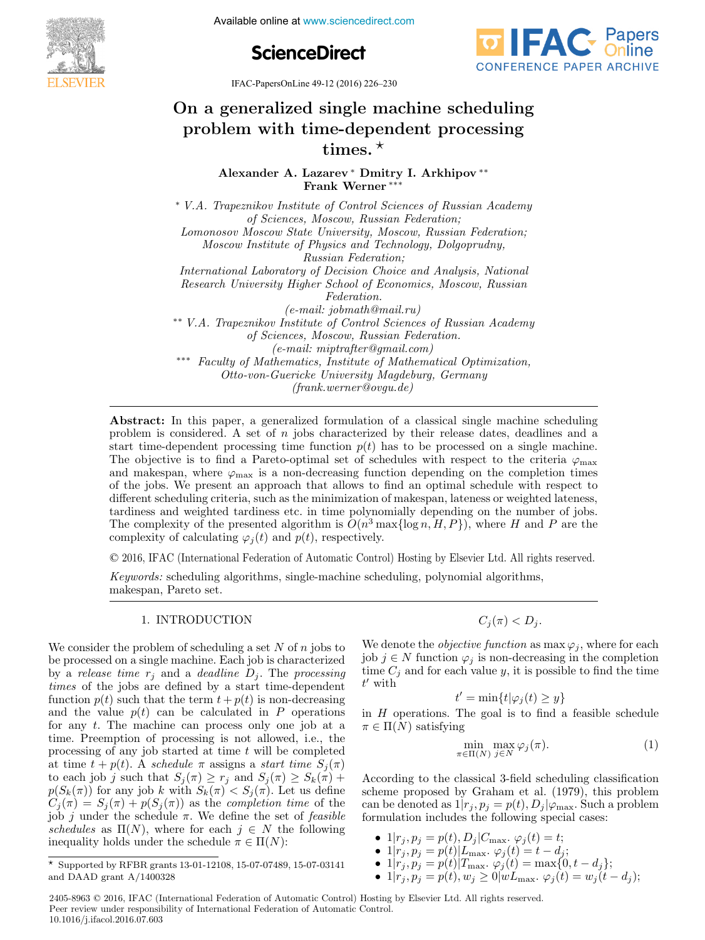**IFACE CONFERENCES**<br> **IFACE CONFERENCES**<br> **IFACE CONFERENCES**<br> **IFACE CONFERENCES**<br> **IFACE CONFERENCES** 





IFAC-PapersOnLine 49-12 (2016) 226–230

## On a generalized single machine scheduling On a generalized single machine scheduling problem with time-dependent processing  $u$ e-depe $\,$ problem with time-dependent problem with the scheduling problem  $\mathcal{L}_{\mathcal{A}}$ On a generalized single machine scheduling On a generalized single machine scheduling

Alexander A. Lazarev <sup>∗</sup> Dmitry I. Arkhipov <sup>∗∗</sup><br>Frank Werner <sup>∗∗∗</sup> Frank Werner ∗∗∗ Frank Werner ∗∗∗ Frank Werner ∗∗∗ Frank Werner ∗∗∗

of Sciences, Moscow, Russian Federation; Lomonosov Moscow State University, Moscow, Russian Federation; Lomonosov Moscow State University, Moscow, Trassian Federation;<br>Moscow Institute of Physics and Technology, Dolgoprudny,  $Russian Federation;$ International Laboratory of Decision Choice and Analysis, National International Laboratory of Decision Choice and Analysis, National Research University Higher School of Economics, Moscow, Russian International Laboratory of Decision Choice and Analysis, National  $Federation.$  $(e-mail:jobmath@mail.ru)$ \*\* V.A. Trapeznikov Institute of Control Sciences of Russian Academy of Sciences, Moscow, Russian Federation. of Sciences, Moscow, Russian Federation.<br>
(e-mail: miptrafter@gmail.com) \*\*\* Faculty of Mathematics, Institute of Mathematical Optimization, Otto-von-Guericke University Magdeburg, Germany Otto-von-Guericke University Magdeburg, Germany (frank.werner@ovgu.de) Otto-von-Guericke University Magdeburg, Germany  $\overline{y}$ ∗ V.A. Trapeznikov Institute of Control Sciences of Russian Academy Moscow Institute of Physics and Technology, Dolgoprudny,<br>Russian Federation: Research University Higher School of Economics, Moscow, Russian<br>Federation  ${\rm (frank.} we rmerQovgu.de)$ 

problem is considered. A set of  $n$  jobs characterized by their release dates, deadlines and a start time-dependent processing time function  $p(t)$  has to be processed on a single machine. The objective is to find a Pareto-optimal set of schedules with respect to the criteria  $\varphi_{\text{max}}$ and makespan, where  $\varphi_{\text{max}}$  is a non-decreasing function depending on the completion times of the jobs. We present an approach that allows to find an optimal schedule with respect to different scheduling criteria, such as the minimization of makespan, lateness or weighted lateness, tandiness and weighted tandiness etc. in time polynomially depending on the number of jobs. The complexity of the presented algorithm is  $O(n^3 \max{\log n, H, P})$ , where H and P are the The complexity of the presented algorithm is  $O(n \max_{t \in [0, T]} p_t, n, T)$ , where  $T$  and  $T$  are the complexity of calculating  $\varphi_j(t)$  and  $p(t)$ , respectively. Abstract: In this paper, a generalized formulation of a classical single machine scheduling complexity of calculating  $\varphi_j(t)$  and  $p(t)$ , respectively.

(frank.werner@ovgu.de)

© 2016, IFAC (International Federation of Automatic Control) Hosting by Elsevier Ltd. All rights reserved.  $\overline{c}$  2016 IFAC (International Federation of Automatic Control

Keywords: scheduling algorithms, single-machine scheduling, polynomial algorithms, Keywords: scheduling algorithms, single-machine scheduling, polynomial algorithms, makespan, Pareto set. makespan, Pareto set. makespan, Pareto set. makespan, Pareto set. Keywords: scheduling algorithms, single-machine scheduling, polynomial algorithms, Keywords: scheduling algorithms, single-machine scheduling, polynomial algorithms,

# 1. INTRODUCTION 1. INTRODUCTION 1. INTRODUCTION 1. INTRODUCTION

We consider the problem of scheduling a set N of  $n$  jobs to we consider the problem of scheduling a set  $N$  or  $n$  jobs to<br>be processed on a single machine. Each job is characterized be processed on a single matrine. Each job is characterized<br>by a release time  $r_j$  and a deadline  $D_j$ . The processing by a receive time  $r_j$  and a deductive  $D_j$ . The processing<br>times of the jobs are defined by a start time-dependent function  $p(t)$  such that the term  $t + p(t)$  is non-decreasing function  $p(t)$  such that the term  $t + p(t)$  is non-decreasing<br>and the value  $p(t)$  can be calculated in P operations for any t. The machine can process only one job at a<br>for any t. The machine can process only one job at a for any  $t$ . The machine can process only one job at a time. Preemption of processing is not allowed, i.e., the processing of any job started at time t will be completed processing or any job started at time t will be completed<br>at time  $t + p(t)$ . A schedule  $\pi$  assigns a start time  $S_j(\pi)$ <br>to each job i such that  $S_i(\pi) > r_i$  and  $S_i(\pi) > S_i(\pi)$ to each job j such that  $S_j(\pi) \ge r_j$  and  $S_j(\pi) \ge S_k(\pi)$  + to each job *f* such that  $S_j(\pi) \ge r_j$  and  $S_j(\pi) \ge S_k(\pi) + p(S_k(\pi))$  for any job *k* with  $S_k(\pi) < S_j(\pi)$ . Let us define  $C_j(\pi) = S_j(\pi) + p(S_j(\pi))$  as the completion time of the  $C_j(\lambda) = S_j(\lambda) + p(S_j(\lambda))$  as the *completion time* of the<br>job j under the schedule  $\pi$ . We define the set of *feasible*<br>schedules as  $\Pi(N)$  where for each  $i \in N$  the following schedules as  $\Pi(N)$ , where for each  $j \in N$  the following inequality holds under the schedule  $\pi \in \Pi(N)$ . schedules as  $\Pi(N)$ , where for each  $j \in N$  the following inequality holds under the schedule  $\pi \in \Pi(N)$ : We consider the problem of scheduling a set  $N$  of  $n$  jobs to times of the jobs are defined by a start time-dependent  $p(S_k(n))$  for any job k with  $S_k(n) \leq S_j(n)$ . Let us define<br> $C_i(\pi) = S_i(\pi) + p(S_i(\pi))$  as the completion time of the inequality holds under the schedule  $n \in \Pi(N)$ .

 $C_j(\pi) < D_j$ .

We denote the *objective function* as  $\max \varphi_j$ , where for each job  $j \in N$  function  $\varphi_j$  is non-decreasing in the completion  $\sum_{j=0}^{\infty}$  j  $\in$  N function  $\varphi_j$  is non-decreasing in the completion  $\sum_{j=0}^{\infty}$  is non-decreasing in the completion  $t'$  with We denote the *objective function* as max  $\varphi_j$ , where for each is  $\phi_j \in N$  function  $\varphi_j$  is non-decreasing in the completion time  $C_j$  and for each value y, it is possible to find the time

 $t' = \min\{t | \varphi_j(t) \geq y\}$ 

in H operations. The goal is to find a feasible schedule  $\pi \in \Pi(\overline{N})$  satisfying in H operations. The goal is to find a feasible schedule<br>  $\pi \in \Pi(N)$  satisfying in H operations. The goal is to find a reasone schedule

$$
\min_{\pi \in \Pi(N)} \max_{j \in N} \varphi_j(\pi). \tag{1}
$$

According to the classical 3-field scheduling classification According to the classical 3-field scheduling classification scheme proposed by Graham et al. (1979), this problem<br>can be denoted as  $1|x_1, n_2 = n(t)$ . Delta Such a problem can be denoted as  $1|r_j, p_j = p(t), D_j|\varphi_{\text{max}}$ . Such a problem can be denoted as  $1|r_j, p_j - p(t), D_j|\phi_{\text{max}}$ , such a problem<br>formulation includes the following special cases: According to the classical 3-field scheduling classification

- $1 | r_j, p_j = p(t), D_j | C_{\text{max}}. \varphi_j(t) = t;$ •  $1 | r_j, p_j = p(t), D_j | C_{\text{max}} \cdot \varphi_j(t) = t;$
- 1|r<sub>j</sub>, p<sub>j</sub> = p(t), D<sub>j</sub>|∪<sub>max</sub>.  $\varphi_j(t) = t,$ <br>• 1|r<sub>j</sub>, p<sub>j</sub> = p(t)|L<sub>max</sub>.  $\varphi_j(t) = t d_j;$ •  $1|r_j, p_j = p(t)|L_{\text{max}}.\ \varphi_j(t) = t - a_j;$ <br>•  $1|r_j, p_j = p(t)|T_{\text{max}}.\ (\varphi_j(t) = \max(0, t - d_j))$
- 1| $r_j, p_j = p(t) | T_{\text{max}}. \varphi_j(t) = \max\{0, t d_j\};$ •  $1|r_j, p_j = p(t)|T_{\text{max}}, \varphi_j(t) = \max\{0, t - d_j\};$ <br>•  $1|r_j, p_j = p(t)|w_j| > 0|w_j|$ • 1|rj,  $p_j - p(t) | L_{\text{max}} \cdot \varphi_j(t) - t - u_j;$ <br>• 1|r<sub>j</sub>,  $n_i = p(t) | T_{\text{max}} \cdot \varphi_i(t) = \max\{0\}$
- 1| $r_j, p_j = p(t), w_j \ge 0$ | $wL_{\text{max}}. \varphi_j(t) = w_j(t d_j);$ • 1 $|r_j, p_j = p(t), w_j \ge 0$ |w $L_{\text{max}}$ .  $\varphi_j(t) = w_j(t - d_j);$ •  $\frac{1}{t}$ ;  $p_j = p(t)$ |  $\frac{1}{t}$  max.  $\frac{\varphi_j(t)}{\varphi_j(t)} = \frac{\max\{0, t - u_j\}}{\max\{t\}}$ <br>•  $\frac{1}{t}$ ;  $n_i = p(t)$ ,  $w_i > 0$ |  $w_{L_{\max}}$ ,  $\varphi_i(t) = w_i(t)$ •  $1|r_j, p_j - p(t), w_j \ge 0 | w L_{\text{max}}. \ \varphi_j(t) - w_j(t - u_j),$

2405-8963 © 2016, IFAC (International Federation of Automatic Control) Hosting by Elsevier Ltd. All rights reserved. **Peer review under responsibility of International Federation of Automatic Control.**<br> **Peer review under responsibility of International Federation of Automatic Control.** 10.1016/j.ifacol.2016.07.603

Supported by RFBR grants 13-01-12108, 15-07-07489, 15-07-03141 Supported by RFBR grants 13-01-12108, 15-07-07489, 15-07-03141 and DAAD grant A/1400328 and DAAD grant A/1400328 and DAAD grant A/1400328  $\overline{X}$  Supported by RFBR grants 13-01-12108, 15-07-07489, 15-07-03141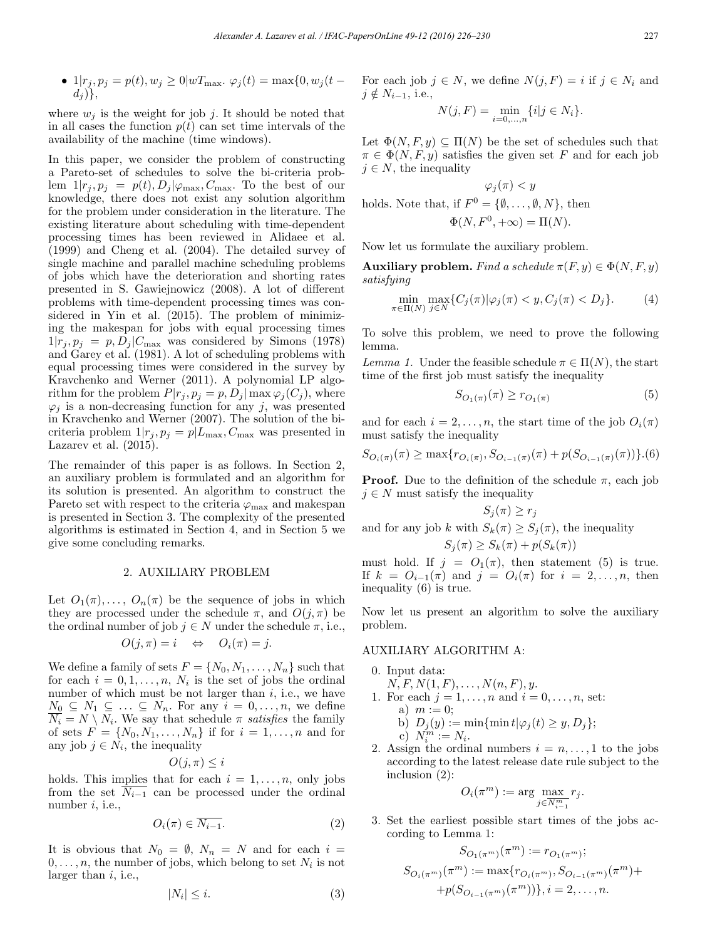• 
$$
1|r_j, p_j = p(t), w_j \ge 0|wT_{\text{max}}. \varphi_j(t) = \max\{0, w_j(t - d_j)\},\
$$

where  $w_j$  is the weight for job j. It should be noted that in all cases the function  $p(t)$  can set time intervals of the availability of the machine (time windows).

In this paper, we consider the problem of constructing a Pareto-set of schedules to solve the bi-criteria problem  $1|r_j, p_j = p(t), D_j|\varphi_{\text{max}}, C_{\text{max}}$ . To the best of our knowledge, there does not exist any solution algorithm for the problem under consideration in the literature. The existing literature about scheduling with time-dependent processing times has been reviewed in Alidaee et al. (1999) and Cheng et al. (2004). The detailed survey of single machine and parallel machine scheduling problems of jobs which have the deterioration and shorting rates presented in S. Gawiejnowicz (2008). A lot of different problems with time-dependent processing times was considered in Yin et al. (2015). The problem of minimizing the makespan for jobs with equal processing times  $1|r_j, p_j = p, D_j|C_{\text{max}}$  was considered by Simons (1978) and Garey et al. (1981). A lot of scheduling problems with equal processing times were considered in the survey by Kravchenko and Werner (2011). A polynomial LP algorithm for the problem  $P|r_j, p_j = p, D_j| \max \varphi_j(C_j)$ , where  $\varphi_j$  is a non-decreasing function for any j, was presented in Kravchenko and Werner (2007). The solution of the bicriteria problem  $1|r_j, p_j = p|L_{\text{max}}, C_{\text{max}}$  was presented in Lazarev et al. (2015).

The remainder of this paper is as follows. In Section 2, an auxiliary problem is formulated and an algorithm for its solution is presented. An algorithm to construct the Pareto set with respect to the criteria  $\varphi_{\text{max}}$  and makespan is presented in Section 3. The complexity of the presented algorithms is estimated in Section 4, and in Section 5 we give some concluding remarks.

#### 2. AUXILIARY PROBLEM

Let  $O_1(\pi), \ldots, O_n(\pi)$  be the sequence of jobs in which they are processed under the schedule  $\pi$ , and  $O(j, \pi)$  be the ordinal number of job  $j \in N$  under the schedule  $\pi$ , i.e.,

$$
O(j,\pi) = i \Leftrightarrow O_i(\pi) = j.
$$

We define a family of sets  $F = \{N_0, N_1, \ldots, N_n\}$  such that for each  $i = 0, 1, \ldots, n$ ,  $N_i$  is the set of jobs the ordinal number of which must be not larger than  $i$ , i.e., we have  $\underline{N_0} \subseteq N_1 \subseteq \ldots \subseteq N_n$ . For any  $i = 0, \ldots, n$ , we define  $N_i = N \setminus N_i$ . We say that schedule  $\pi$  satisfies the family of sets  $F = \{N_0, N_1, \ldots, N_n\}$  if for  $i = 1, \ldots, n$  and for any job  $j \in N_i$ , the inequality

$$
O(j,\pi)\leq i
$$

holds. This implies that for each  $i = 1, \ldots, n$ , only jobs from the set  $N_{i-1}$  can be processed under the ordinal number  $i$ , i.e.,

$$
O_i(\pi) \in \overline{N_{i-1}}.\tag{2}
$$

It is obvious that  $N_0 = \emptyset$ ,  $N_n = N$  and for each  $i =$  $0,\ldots,n$ , the number of jobs, which belong to set  $N_i$  is not larger than  $i$ , i.e.,

$$
|N_i| \leq i. \tag{3}
$$

For each job  $j \in N$ , we define  $N(j, F) = i$  if  $j \in N_i$  and  $j \notin N_{i-1}$ , i.e.,

$$
N(j, F) = \min_{i=0,\dots,n} \{i|j \in N_i\}.
$$

Let  $\Phi(N, F, y) \subseteq \Pi(N)$  be the set of schedules such that  $\pi \in \Phi(N, F, y)$  satisfies the given set F and for each job  $j \in N$ , the inequality

$$
\varphi_j(\pi) < y
$$

holds. Note that, if  $F^0 = \{\emptyset, \ldots, \emptyset, N\}$ , then

$$
\Phi(N, F^0, +\infty) = \Pi(N).
$$

Now let us formulate the auxiliary problem.

Auxiliary problem. Find a schedule  $\pi(F, y) \in \Phi(N, F, y)$ satisfying

$$
\min_{\pi \in \Pi(N)} \max_{j \in N} \{ C_j(\pi) | \varphi_j(\pi) < y, C_j(\pi) < D_j \}. \tag{4}
$$

To solve this problem, we need to prove the following lemma.

Lemma 1. Under the feasible schedule  $\pi \in \Pi(N)$ , the start time of the first job must satisfy the inequality

$$
S_{O_1(\pi)}(\pi) \ge r_{O_1(\pi)}\tag{5}
$$

and for each  $i = 2, \ldots, n$ , the start time of the job  $O_i(\pi)$ must satisfy the inequality

$$
S_{O_i(\pi)}(\pi) \ge \max\{r_{O_i(\pi)}, S_{O_{i-1}(\pi)}(\pi) + p(S_{O_{i-1}(\pi)}(\pi))\}.
$$
 (6)

**Proof.** Due to the definition of the schedule  $\pi$ , each job  $j \in N$  must satisfy the inequality

$$
S_j(\pi) \ge r_j
$$
  
and for any job  $k$  with  $S_k(\pi) \ge S_j(\pi)$ , the inequality  

$$
S_j(\pi) \ge S_k(\pi) + p(S_k(\pi))
$$

must hold. If  $j = O_1(\pi)$ , then statement (5) is true. If  $k = O_{i-1}(\pi)$  and  $j = O_i(\pi)$  for  $i = 2, \ldots, n$ , then inequality (6) is true.

Now let us present an algorithm to solve the auxiliary problem.

#### AUXILIARY ALGORITHM A:

- 0. Input data:  $N, F, N(1, F), \ldots, N(n, F), y.$ 1. For each  $j = 1, ..., n$  and  $i = 0, ..., n$ , set: a)  $m := 0$ ; b)  $D_j(y) := \min{\{\min t | \varphi_j(t) \geq y, D_j\}};$ c)  $N_i^m := N_i$ .
- 2. Assign the ordinal numbers  $i = n, \ldots, 1$  to the jobs according to the latest release date rule subject to the inclusion (2):

$$
O_i(\pi^m) := \arg\max_{j \in \overline{N_{i-1}^m}} r_j.
$$

3. Set the earliest possible start times of the jobs according to Lemma 1:

$$
S_{O_1(\pi^m)}(\pi^m) := r_{O_1(\pi^m)};
$$
  
\n
$$
S_{O_i(\pi^m)}(\pi^m) := \max\{r_{O_i(\pi^m)}, S_{O_{i-1}(\pi^m)}(\pi^m) +
$$
  
\n
$$
+p(S_{O_{i-1}(\pi^m)}(\pi^m))\}, i = 2, ..., n.
$$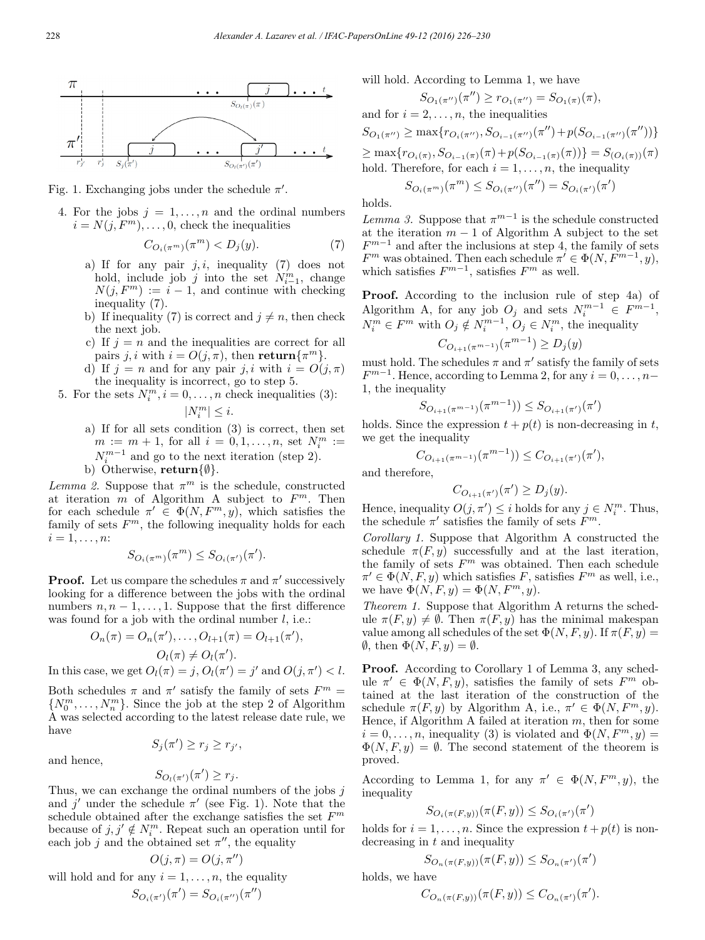

Fig. 1. Exchanging jobs under the schedule  $\pi'$ .

4. For the jobs  $j = 1, \ldots, n$  and the ordinal numbers  $i = N(j, F^m), \ldots, 0$ , check the inequalities

$$
C_{O_i(\pi^m)}(\pi^m) < D_j(y). \tag{7}
$$

- a) If for any pair  $j, i$ , inequality (7) does not hold, include job j into the set  $N_{i-1}^m$ , change  $N(j, F<sup>m</sup>) := i - 1$ , and continue with checking inequality (7).
- b) If inequality (7) is correct and  $j \neq n$ , then check the next job.
- c) If  $j = n$  and the inequalities are correct for all pairs j, i with  $i = O(j, \pi)$ , then return $\{\pi^m\}.$
- d) If  $j = n$  and for any pair j, i with  $i = O(j, \pi)$ the inequality is incorrect, go to step 5.
- 5. For the sets  $N_i^m$ ,  $i = 0, ..., n$  check inequalities (3):

 $|N_i^m|\leq i.$ 

a) If for all sets condition (3) is correct, then set  $m := m + 1$ , for all  $i = 0, 1, ..., n$ , set  $N_i^m :=$  $N_i^{m-1}$  and go to the next iteration (step 2). b) Otherwise, return $\{\emptyset\}$ .

Lemma 2. Suppose that  $\pi^m$  is the schedule, constructed at iteration  $\overline{m}$  of Algorithm A subject to  $F^m$ . Then for each schedule  $\pi' \in \Phi(N, F^m, y)$ , which satisfies the family of sets  $F<sup>m</sup>$ , the following inequality holds for each  $i=1,\ldots,n$ :

$$
S_{O_i(\pi^m)}(\pi^m) \le S_{O_i(\pi')}(\pi').
$$

**Proof.** Let us compare the schedules  $\pi$  and  $\pi'$  successively looking for a difference between the jobs with the ordinal numbers  $n, n-1, \ldots, 1$ . Suppose that the first difference was found for a job with the ordinal number  $l$ , i.e.:

$$
O_n(\pi) = O_n(\pi'), \dots, O_{l+1}(\pi) = O_{l+1}(\pi'),
$$
  

$$
O_l(\pi) \neq O_l(\pi').
$$

In this case, we get  $O_l(\pi) = j$ ,  $O_l(\pi') = j'$  and  $O(j, \pi') < l$ .

Both schedules  $\pi$  and  $\pi'$  satisfy the family of sets  $F^m =$  $\{N_0^m, \ldots, N_n^m\}$ . Since the job at the step 2 of Algorithm A was selected according to the latest release date rule, we have

and hence,

$$
S_j(\pi') \ge r_j \ge r_{j'},
$$

 $S_{O_l(\pi') }(\pi') \geq r_j.$ Thus, we can exchange the ordinal numbers of the jobs  $j$ and j' under the schedule  $\pi'$  (see Fig. 1). Note that the schedule obtained after the exchange satisfies the set  $F<sup>m</sup>$ because of  $j, j' \notin N_i^m$ . Repeat such an operation until for each job j and the obtained set  $\pi''$ , the equality

$$
O(j,\pi) = O(j,\pi'')
$$

will hold and for any  $i = 1, \ldots, n$ , the equality

$$
S_{O_i(\pi')}(\pi') = S_{O_i(\pi'')}(\pi'')
$$

will hold. According to Lemma 1, we have

 $S_{O_1(\pi'')}(\pi'') \geq r_{O_1(\pi'')} = S_{O_1(\pi)}(\pi),$ and for  $i = 2, \ldots, n$ , the inequalities  $S_{O_1(\pi'')} \ge \max\{r_{O_i(\pi'')}, S_{O_{i-1}(\pi'')}(\pi'') + p(S_{O_{i-1}(\pi'')}(\pi''))\}$  $\geq \max\{r_{O_i(\pi)}, S_{O_{i-1}(\pi)}(\pi) + p(S_{O_{i-1}(\pi)}(\pi))\} = S_{(O_i(\pi))}(\pi)$ hold. Therefore, for each  $i = 1, \ldots, n$ , the inequality

$$
S_{O_i(\pi^m)}(\pi^m) \le S_{O_i(\pi'')}(\pi'') = S_{O_i(\pi')}(\pi')
$$

holds.

Lemma 3. Suppose that  $\pi^{m-1}$  is the schedule constructed at the iteration  $m-1$  of Algorithm A subject to the set  $F^{m-1}$  and after the inclusions at step 4, the family of sets  $F^m$  was obtained. Then each schedule  $\pi' \in \Phi(N, F^{m-1}, y)$ , which satisfies  $F^{m-1}$ , satisfies  $F^m$  as well.

Proof. According to the inclusion rule of step 4a) of Algorithm A, for any job  $O_j$  and sets  $N_i^{m-1} \in F^{m-1}$ ,  $N_i^m \in F^m$  with  $O_j \notin N_i^{m-1}, O_j \in N_i^m$ , the inequality

$$
C_{O_{i+1}(\pi^{m-1})}(\pi^{m-1}) \ge D_j(y)
$$

must hold. The schedules  $\pi$  and  $\pi'$  satisfy the family of sets  $F^{m-1}$ . Hence, according to Lemma 2, for any  $i = 0, \ldots, n-1$ 1, the inequality

$$
S_{O_{i+1}(\pi^{m-1})}(\pi^{m-1})) \le S_{O_{i+1}(\pi')}(\pi')
$$

holds. Since the expression  $t + p(t)$  is non-decreasing in t, we get the inequality

$$
C_{O_{i+1}(\pi^{m-1})}(\pi^{m-1})) \leq C_{O_{i+1}(\pi')}(\pi'),
$$

and therefore,

$$
C_{O_{i+1}(\pi')}(\pi') \ge D_j(y).
$$

Hence, inequality  $O(j, \pi') \leq i$  holds for any  $j \in N_i^m$ . Thus, the schedule  $\pi'$  satisfies the family of sets  $F^m$ .

Corollary 1. Suppose that Algorithm A constructed the schedule  $\pi(F, y)$  successfully and at the last iteration, the family of sets  $F<sup>m</sup>$  was obtained. Then each schedule  $\pi' \in \Phi(N, F, y)$  which satisfies F, satisfies  $F<sup>m</sup>$  as well, i.e., we have  $\Phi(N, F, y) = \Phi(N, F^m, y)$ .

Theorem 1. Suppose that Algorithm A returns the schedule  $\pi(F, y) \neq \emptyset$ . Then  $\pi(F, y)$  has the minimal makespan value among all schedules of the set  $\Phi(N, F, y)$ . If  $\pi(F, y) =$  $\emptyset$ , then  $\Phi(N, F, y) = \emptyset$ .

Proof. According to Corollary 1 of Lemma 3, any schedule  $\pi' \in \Phi(N, F, y)$ , satisfies the family of sets  $F^m$  obtained at the last iteration of the construction of the schedule  $\pi(F, y)$  by Algorithm A, i.e.,  $\pi' \in \Phi(N, F^m, y)$ . Hence, if Algorithm A failed at iteration  $m$ , then for some  $i = 0, \ldots, n$ , inequality (3) is violated and  $\Phi(N, F^m, y) =$  $\Phi(N, F, y) = \emptyset$ . The second statement of the theorem is proved.

According to Lemma 1, for any  $\pi' \in \Phi(N, F^m, y)$ , the inequality

$$
S_{O_i(\pi(F,y))}(\pi(F,y)) \le S_{O_i(\pi')}(\pi')
$$

holds for  $i = 1, \ldots, n$ . Since the expression  $t + p(t)$  is nondecreasing in  $t$  and inequality

 $S_{O_n(\pi(F,y))}(\pi(F,y)) \leq S_{O_n(\pi')}(\pi')$ holds, we have

$$
C_{O_n(\pi(F,y))}(\pi(F,y)) \le C_{O_n(\pi')}(\pi').
$$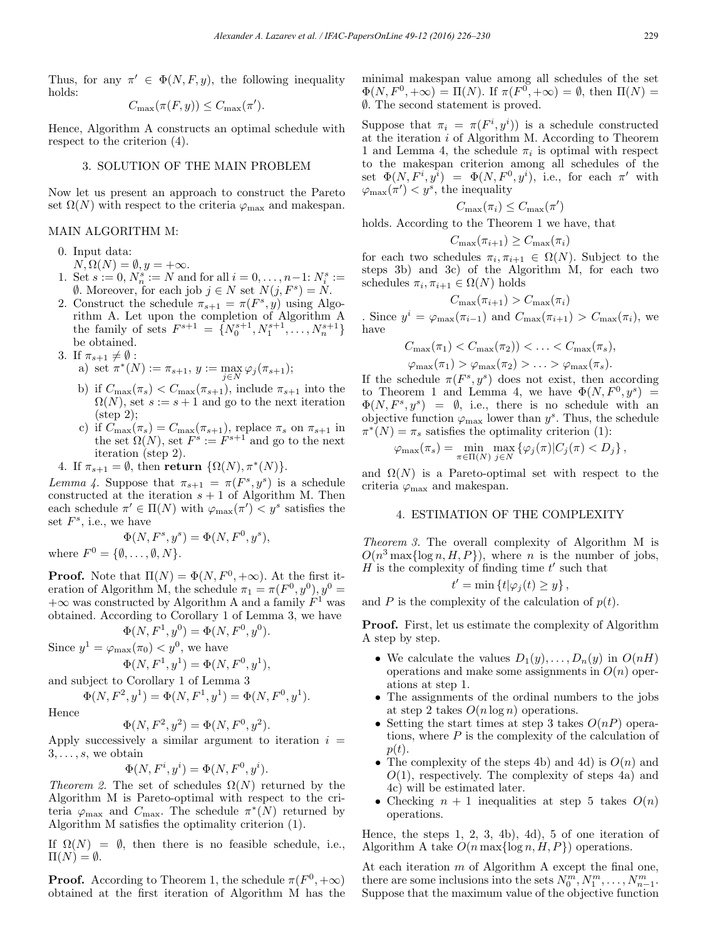Thus, for any  $\pi' \in \Phi(N, F, y)$ , the following inequality holds:

$$
C_{\max}(\pi(F, y)) \leq C_{\max}(\pi').
$$

Hence, Algorithm A constructs an optimal schedule with respect to the criterion (4).

### 3. SOLUTION OF THE MAIN PROBLEM

Now let us present an approach to construct the Pareto set  $\Omega(N)$  with respect to the criteria  $\varphi_{\text{max}}$  and makespan.

#### MAIN ALGORITHM M:

- 0. Input data:
- $N, \Omega(N) = \emptyset, y = +\infty.$
- 1. Set  $s := 0, N_n^s := N$  and for all  $i = 0, \ldots, n-1: N_i^s :=$ emptyset. Moreover, for each job *j* ∈ *N* set  $N(j, F<sup>s</sup>) = N$ .
- 2. Construct the schedule  $\pi_{s+1} = \pi(F^s, y)$  using Algorithm A. Let upon the completion of Algorithm A the family of sets  $F^{s+1} = \{N_0^{s+1}, N_1^{s+1}, \ldots, N_n^{s+1}\}\$ be obtained.
- 3. If  $\pi_{s+1} \neq \emptyset$ :

a) set 
$$
\pi^*(N) := \pi_{s+1}, y := \max_{j \in N} \varphi_j(\pi_{s+1});
$$

- b) if  $C_{\text{max}}(\pi_s) < C_{\text{max}}(\pi_{s+1})$ , include  $\pi_{s+1}$  into the  $\Omega(N)$ , set  $s := s + 1$  and go to the next iteration (step 2);
- c) if  $C_{\text{max}}(\pi_s) = C_{\text{max}}(\pi_{s+1})$ , replace  $\pi_s$  on  $\pi_{s+1}$  in the set  $\Omega(N)$ , set  $F^s := F^{s+1}$  and go to the next iteration (step 2).
- 4. If  $\pi_{s+1} = \emptyset$ , then return  $\{\Omega(N), \pi^*(N)\}.$

Lemma 4. Suppose that  $\pi_{s+1} = \pi(F^s, y^s)$  is a schedule constructed at the iteration  $s + 1$  of Algorithm M. Then each schedule  $\pi' \in \Pi(N)$  with  $\varphi_{\max}(\pi') < y^s$  satisfies the set  $F^s$ , i.e., we have

$$
\Phi(N, F^s, y^s) = \Phi(N, F^0, y^s),
$$
  
where  $F^0 = \{\emptyset, \dots, \emptyset, N\}.$ 

**Proof.** Note that  $\Pi(N) = \Phi(N, F^0, +\infty)$ . At the first iteration of Algorithm M, the schedule  $\pi_1 = \pi(F^0, y^0), y^0 =$  $+\infty$  was constructed by Algorithm A and a family  $F^1$  was obtained. According to Corollary 1 of Lemma 3, we have

$$
\Phi(N, F^1, y^0) = \Phi(N, F^0, y^0).
$$

Since  $y^1 = \varphi_{\text{max}}(\pi_0) < y^0$ , we have

 $\Phi(N, F^1, y^1) = \Phi(N, F^0, y^1),$ 

and subject to Corollary 1 of Lemma 3

$$
\Phi(N, F^2, y^1) = \Phi(N, F^1, y^1) = \Phi(N, F^0, y^1).
$$

Hence

$$
\Phi(N, F^2, y^2) = \Phi(N, F^0, y^2).
$$

Apply successively a similar argument to iteration  $i =$  $3, \ldots, s$ , we obtain

$$
\Phi(N, F^i, y^i) = \Phi(N, F^0, y^i).
$$

Theorem 2. The set of schedules  $\Omega(N)$  returned by the Algorithm M is Pareto-optimal with respect to the criteria  $\varphi_{\text{max}}$  and  $C_{\text{max}}$ . The schedule  $\pi^*(N)$  returned by Algorithm M satisfies the optimality criterion (1).

If  $\Omega(N) = \emptyset$ , then there is no feasible schedule, i.e.,  $\Pi(N) = \emptyset.$ 

**Proof.** According to Theorem 1, the schedule  $\pi(F^0, +\infty)$ obtained at the first iteration of Algorithm M has the minimal makespan value among all schedules of the set  $\Phi(N,F^0,+\infty) = \Pi(N)$ . If  $\pi(F^0,+\infty) = \emptyset$ , then  $\Pi(N) =$ ∅. The second statement is proved.

Suppose that  $\pi_i = \pi(F^i, y^i)$  is a schedule constructed at the iteration  $i$  of Algorithm M. According to Theorem 1 and Lemma 4, the schedule  $\pi_i$  is optimal with respect to the makespan criterion among all schedules of the set  $\Phi(N, F^i, y^i) = \Phi(N, F^0, y^i)$ , i.e., for each  $\pi'$  with  $\varphi_{\max}(\pi') < y^s$ , the inequality

$$
C_{\max}(\pi_i) \leq C_{\max}(\pi')
$$

holds. According to the Theorem 1 we have, that

$$
C_{\max}(\pi_{i+1}) \ge C_{\max}(\pi_i)
$$

for each two schedules  $\pi_i, \pi_{i+1} \in \Omega(N)$ . Subject to the steps 3b) and 3c) of the Algorithm M, for each two schedules  $\pi_i, \pi_{i+1} \in \Omega(N)$  holds

$$
C_{\max}(\pi_{i+1}) > C_{\max}(\pi_i)
$$

. Since  $y^i = \varphi_{\max}(\pi_{i-1})$  and  $C_{\max}(\pi_{i+1}) > C_{\max}(\pi_i)$ , we have

$$
C_{\max}(\pi_1) < C_{\max}(\pi_2) < \ldots < C_{\max}(\pi_s),
$$
\n
$$
\varphi_{\max}(\pi_1) > \varphi_{\max}(\pi_2) > \ldots > \varphi_{\max}(\pi_s).
$$

If the schedule  $\pi(F^s, y^s)$  does not exist, then according to Theorem 1 and Lemma 4, we have  $\Phi(N, F^0, y^s) =$  $\Phi(N, F^s, y^s) = \emptyset$ , i.e., there is no schedule with an objective function  $\varphi_{\text{max}}$  lower than  $y^s$ . Thus, the schedule  $\pi^*(N) = \pi_s$  satisfies the optimality criterion (1):

$$
\varphi_{\max}(\pi_s) = \min_{\pi \in \Pi(N)} \max_{j \in N} \left\{ \varphi_j(\pi) | C_j(\pi) < D_j \right\},\
$$

and  $\Omega(N)$  is a Pareto-optimal set with respect to the criteria  $\varphi_{\text{max}}$  and makespan.

#### 4. ESTIMATION OF THE COMPLEXITY

Theorem 3. The overall complexity of Algorithm M is  $O(n^3 \max\{\log n, H, P\})$ , where *n* is the number of jobs,  $H$  is the complexity of finding time  $t'$  such that

$$
t' = \min\left\{t|\varphi_j(t) \ge y\right\},\,
$$

and P is the complexity of the calculation of  $p(t)$ .

Proof. First, let us estimate the complexity of Algorithm A step by step.

- We calculate the values  $D_1(y), \ldots, D_n(y)$  in  $O(nH)$ operations and make some assignments in  $O(n)$  operations at step 1.
- The assignments of the ordinal numbers to the jobs at step 2 takes  $O(n \log n)$  operations.
- Setting the start times at step 3 takes  $O(nP)$  operations, where  $P$  is the complexity of the calculation of  $p(t)$ .
- The complexity of the steps 4b) and 4d) is  $O(n)$  and  $O(1)$ , respectively. The complexity of steps 4a) and 4c) will be estimated later.
- Checking  $n + 1$  inequalities at step 5 takes  $O(n)$ operations.

Hence, the steps  $1, 2, 3, 4b$ ,  $4d$ ,  $5$  of one iteration of Algorithm A take  $O(n \max\{\log n, H, P\})$  operations.

At each iteration m of Algorithm A except the final one, there are some inclusions into the sets  $N_0^m, N_1^m, \ldots, N_{n-1}^m$ . Suppose that the maximum value of the objective function